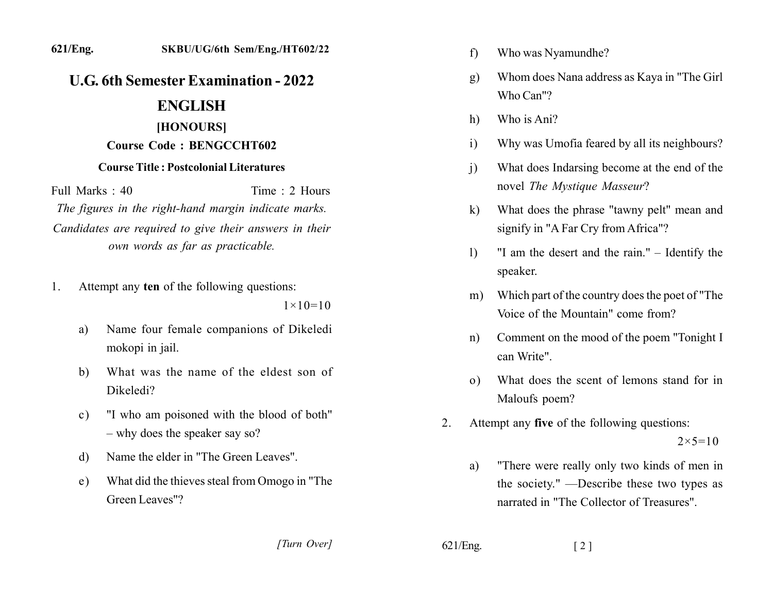# **U.G. 6th Semester Examination - 2022**

## **ENGLISH**

## [HONOURS]

### **Course Code: BENGCCHT602**

### **Course Title: Postcolonial Literatures**

Full Marks: 40 Time: 2 Hours The figures in the right-hand margin indicate marks. Candidates are required to give their answers in their own words as far as practicable.

Attempt any ten of the following questions:  $1$ 

 $1 \times 10 = 10$ 

- Name four female companions of Dikeledi a) mokopi in jail.
- What was the name of the eldest son of b) Dikeledi?
- "I who am poisoned with the blood of both"  $c)$  $-$  why does the speaker say so?
- Name the elder in "The Green Leaves". d)
- What did the thieves steal from Omogo in "The e) Green Leaves"?
	- [Turn Over]
- Who was Nyamundhe? f)
- Whom does Nana address as Kaya in "The Girl"  $g)$ Who Can"?
- Who is Ani? h)
- Why was Umofia feared by all its neighbours?  $\overline{1}$
- What does Indarsing become at the end of the  $\mathbf{i}$ novel The Mystique Masseur?
- What does the phrase "tawny pelt" mean and  $\bf k$ signify in "A Far Cry from Africa"?
- "I am the desert and the rain." Identify the  $\left| \right\rangle$ speaker.
- Which part of the country does the poet of "The  $m)$ Voice of the Mountain" come from?
- Comment on the mood of the poem "Tonight I  $n)$ can Write".
- What does the scent of lemons stand for in  $(0)$ Maloufs poem?
- Attempt any five of the following questions: 2.  $2 \times 5 = 10$ 
	- "There were really only two kinds of men in a) the society." —Describe these two types as narrated in "The Collector of Treasures".

 $621/Eng.$